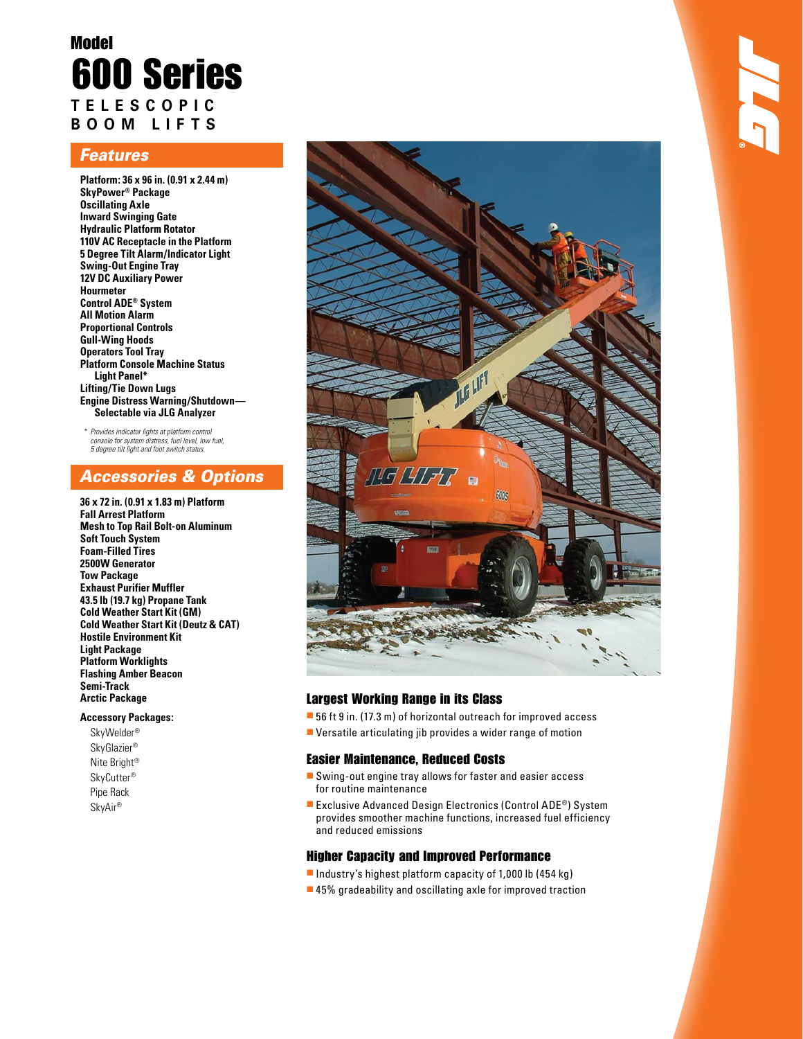# Model 600 Series **telescopic Boom L ifts**

## *Features*

**Platform: 36 x 96 in. (0.91 x 2.44 m) SkyPower® Package Oscillating Axle Inward Swinging Gate Hydraulic Platform Rotator 110V AC Receptacle in the Platform 5 Degree Tilt Alarm/Indicator Light Swing-Out Engine Tray 12V DC Auxiliary Power Hourmeter Control ADE® System All Motion Alarm Proportional Controls Gull-Wing Hoods Operators Tool Tray Platform Console Machine Status Light Panel\* Lifting/Tie Down Lugs Engine Distress Warning/Shutdown— Selectable via JLG Analyzer**

*\* Provides indicator lights at platform control console for system distress, fuel level, low fuel, 5 degree tilt light and foot switch status.*

# *Accessories & Options*

**36 x 72 in. (0.91 x 1.83 m) Platform Fall Arrest Platform Mesh to Top Rail Bolt-on Aluminum Soft Touch System Foam-Filled Tires 2500W Generator Tow Package Exhaust Purifier Muffler 43.5 lb (19.7 kg) Propane Tank Cold Weather Start Kit (GM) Cold Weather Start Kit (Deutz & CAT) Hostile Environment Kit Light Package Platform Worklights Flashing Amber Beacon Semi-Track Arctic Package**

### **Accessory Packages:**

SkyWelder® SkyGlazier® Nite Bright® SkyCutter® Pipe Rack SkyAir®



### Largest Working Range in its Class

- 56 ft 9 in. (17.3 m) of horizontal outreach for improved access
- $\blacksquare$  Versatile articulating jib provides a wider range of motion

### Easier Maintenance, Reduced Costs

- $\blacksquare$  Swing-out engine tray allows for faster and easier access for routine maintenance
- Exclusive Advanced Design Electronics (Control ADE®) System provides smoother machine functions, increased fuel efficiency and reduced emissions

### Higher Capacity and Improved Performance

- Industry's highest platform capacity of 1,000 lb (454 kg)
- $\blacksquare$  45% gradeability and oscillating axle for improved traction